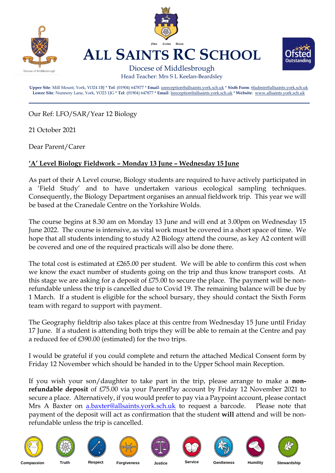

Our Ref: LFO/SAR/Year 12 Biology

21 October 2021

Dear Parent/Carer

## **'A' Level Biology Fieldwork – Monday 13 June – Wednesday 15 June**

As part of their A Level course, Biology students are required to have actively participated in a 'Field Study' and to have undertaken various ecological sampling techniques. Consequently, the Biology Department organises an annual fieldwork trip. This year we will be based at the Cranedale Centre on the Yorkshire Wolds.

The course begins at 8.30 am on Monday 13 June and will end at 3.00pm on Wednesday 15 June 2022. The course is intensive, as vital work must be covered in a short space of time. We hope that all students intending to study A2 Biology attend the course, as key A2 content will be covered and one of the required practicals will also be done there.

The total cost is estimated at  $£265.00$  per student. We will be able to confirm this cost when we know the exact number of students going on the trip and thus know transport costs. At this stage we are asking for a deposit of £75.00 to secure the place. The payment will be nonrefundable unless the trip is cancelled due to Covid 19. The remaining balance will be due by 1 March. If a student is eligible for the school bursary, they should contact the Sixth Form team with regard to support with payment.

The Geography fieldtrip also takes place at this centre from Wednesday 15 June until Friday 17 June. If a student is attending both trips they will be able to remain at the Centre and pay a reduced fee of £390.00 (estimated) for the two trips.

I would be grateful if you could complete and return the attached Medical Consent form by Friday 12 November which should be handed in to the Upper School main Reception.

If you wish your son/daughter to take part in the trip, please arrange to make a **nonrefundable deposit** of £75.00 via your ParentPay account by Friday 12 November 2021 to secure a place. Alternatively, if you would prefer to pay via a Paypoint account, please contact Mrs A Baxter on [a.baxter@allsaints.york.sch.uk](mailto:a.baxter@allsaints.york.sch.uk) to request a barcode. Please note that payment of the deposit will act as confirmation that the student **will** attend and will be nonrefundable unless the trip is cancelled.



















**Compassion Truth Respect Forgiveness Justice Service Gentleness Humility Stewardship**